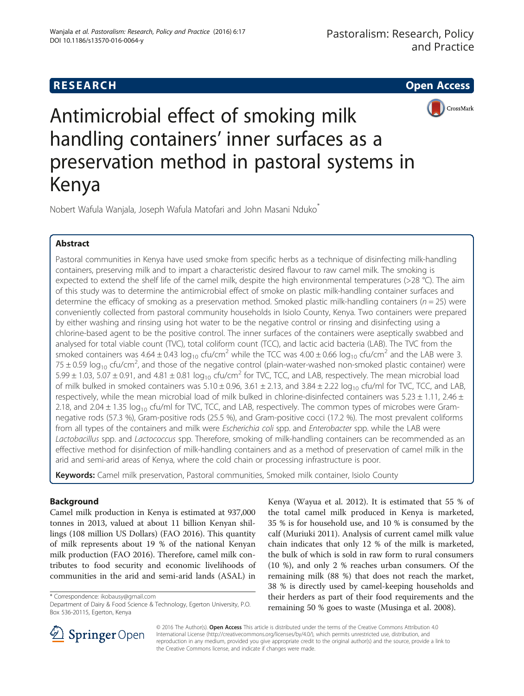# **RESEARCH CHILD CONTROL** CONTROL CONTROL CONTROL CONTROL CONTROL CONTROL CONTROL CONTROL CONTROL CONTROL CONTROL CONTROL CONTROL CONTROL CONTROL CONTROL CONTROL CONTROL CONTROL CONTROL CONTROL CONTROL CONTROL CONTROL CONTR



Antimicrobial effect of smoking milk handling containers' inner surfaces as a preservation method in pastoral systems in Kenya

Nobert Wafula Wanjala, Joseph Wafula Matofari and John Masani Nduko\*

# Abstract

Pastoral communities in Kenya have used smoke from specific herbs as a technique of disinfecting milk-handling containers, preserving milk and to impart a characteristic desired flavour to raw camel milk. The smoking is expected to extend the shelf life of the camel milk, despite the high environmental temperatures (>28 °C). The aim of this study was to determine the antimicrobial effect of smoke on plastic milk-handling container surfaces and determine the efficacy of smoking as a preservation method. Smoked plastic milk-handling containers ( $n = 25$ ) were conveniently collected from pastoral community households in Isiolo County, Kenya. Two containers were prepared by either washing and rinsing using hot water to be the negative control or rinsing and disinfecting using a chlorine-based agent to be the positive control. The inner surfaces of the containers were aseptically swabbed and analysed for total viable count (TVC), total coliform count (TCC), and lactic acid bacteria (LAB). The TVC from the smoked containers was  $4.64 \pm 0.43 \log_{10}$  cfu/cm<sup>2</sup> while the TCC was  $4.00 \pm 0.66 \log_{10}$  cfu/cm<sup>2</sup> and the LAB were 3. 75  $\pm$  0.59 log<sub>10</sub> cfu/cm<sup>2</sup>, and those of the negative control (plain-water-washed non-smoked plastic container) were 5.99  $\pm$  1.03, 5.07  $\pm$  0.91, and 4.81  $\pm$  0.81 log<sub>10</sub> cfu/cm<sup>2</sup> for TVC, TCC, and LAB, respectively. The mean microbial load of milk bulked in smoked containers was  $5.10 \pm 0.96$ ,  $3.61 \pm 2.13$ , and  $3.84 \pm 2.22$  log<sub>10</sub> cfu/ml for TVC, TCC, and LAB, respectively, while the mean microbial load of milk bulked in chlorine-disinfected containers was 5.23  $\pm$  1.11, 2.46  $\pm$ 2.18, and 2.04  $\pm$  1.35 log<sub>10</sub> cfu/ml for TVC, TCC, and LAB, respectively. The common types of microbes were Gramnegative rods (57.3 %), Gram-positive rods (25.5 %), and Gram-positive cocci (17.2 %). The most prevalent coliforms from all types of the containers and milk were Escherichia coli spp. and Enterobacter spp. while the LAB were Lactobacillus spp. and Lactococcus spp. Therefore, smoking of milk-handling containers can be recommended as an effective method for disinfection of milk-handling containers and as a method of preservation of camel milk in the arid and semi-arid areas of Kenya, where the cold chain or processing infrastructure is poor.

Keywords: Camel milk preservation, Pastoral communities, Smoked milk container, Isiolo County

# Background

Camel milk production in Kenya is estimated at 937,000 tonnes in 2013, valued at about 11 billion Kenyan shillings (108 million US Dollars) (FAO [2016](#page-5-0)). This quantity of milk represents about 19 % of the national Kenyan milk production (FAO [2016\)](#page-5-0). Therefore, camel milk contributes to food security and economic livelihoods of communities in the arid and semi-arid lands (ASAL) in

\* Correspondence: [ikobausy@gmail.com](mailto:ikobausy@gmail.com)

Kenya (Wayua et al. [2012](#page-6-0)). It is estimated that 55 % of the total camel milk produced in Kenya is marketed, 35 % is for household use, and 10 % is consumed by the calf (Muriuki [2011\)](#page-6-0). Analysis of current camel milk value chain indicates that only 12 % of the milk is marketed, the bulk of which is sold in raw form to rural consumers (10 %), and only 2 % reaches urban consumers. Of the remaining milk (88 %) that does not reach the market, 38 % is directly used by camel-keeping households and their herders as part of their food requirements and the remaining 50 % goes to waste (Musinga et al. [2008\)](#page-6-0).



© 2016 The Author(s). Open Access This article is distributed under the terms of the Creative Commons Attribution 4.0 International License ([http://creativecommons.org/licenses/by/4.0/\)](http://creativecommons.org/licenses/by/4.0/), which permits unrestricted use, distribution, and reproduction in any medium, provided you give appropriate credit to the original author(s) and the source, provide a link to the Creative Commons license, and indicate if changes were made.

Department of Dairy & Food Science & Technology, Egerton University, P.O. Box 536-20115, Egerton, Kenya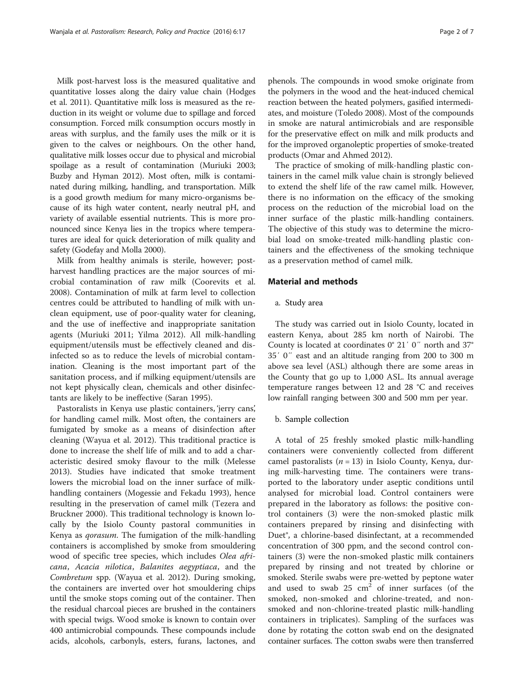Milk post-harvest loss is the measured qualitative and quantitative losses along the dairy value chain (Hodges et al. [2011\)](#page-5-0). Quantitative milk loss is measured as the reduction in its weight or volume due to spillage and forced consumption. Forced milk consumption occurs mostly in areas with surplus, and the family uses the milk or it is given to the calves or neighbours. On the other hand, qualitative milk losses occur due to physical and microbial spoilage as a result of contamination (Muriuki [2003](#page-6-0); Buzby and Hyman [2012\)](#page-5-0). Most often, milk is contaminated during milking, handling, and transportation. Milk is a good growth medium for many micro-organisms because of its high water content, nearly neutral pH, and variety of available essential nutrients. This is more pronounced since Kenya lies in the tropics where temperatures are ideal for quick deterioration of milk quality and safety (Godefay and Molla [2000](#page-5-0)).

Milk from healthy animals is sterile, however; postharvest handling practices are the major sources of microbial contamination of raw milk (Coorevits et al. [2008](#page-5-0)). Contamination of milk at farm level to collection centres could be attributed to handling of milk with unclean equipment, use of poor-quality water for cleaning, and the use of ineffective and inappropriate sanitation agents (Muriuki [2011](#page-6-0); Yilma [2012\)](#page-6-0). All milk-handling equipment/utensils must be effectively cleaned and disinfected so as to reduce the levels of microbial contamination. Cleaning is the most important part of the sanitation process, and if milking equipment/utensils are not kept physically clean, chemicals and other disinfectants are likely to be ineffective (Saran [1995](#page-6-0)).

Pastoralists in Kenya use plastic containers, 'jerry cans', for handling camel milk. Most often, the containers are fumigated by smoke as a means of disinfection after cleaning (Wayua et al. [2012](#page-6-0)). This traditional practice is done to increase the shelf life of milk and to add a characteristic desired smoky flavour to the milk (Melesse [2013](#page-6-0)). Studies have indicated that smoke treatment lowers the microbial load on the inner surface of milkhandling containers (Mogessie and Fekadu [1993\)](#page-6-0), hence resulting in the preservation of camel milk (Tezera and Bruckner [2000\)](#page-6-0). This traditional technology is known locally by the Isiolo County pastoral communities in Kenya as qorasum. The fumigation of the milk-handling containers is accomplished by smoke from smouldering wood of specific tree species, which includes Olea africana, Acacia nilotica, Balanites aegyptiaca, and the Combretum spp. (Wayua et al. [2012\)](#page-6-0). During smoking, the containers are inverted over hot smouldering chips until the smoke stops coming out of the container. Then the residual charcoal pieces are brushed in the containers with special twigs. Wood smoke is known to contain over 400 antimicrobial compounds. These compounds include acids, alcohols, carbonyls, esters, furans, lactones, and

phenols. The compounds in wood smoke originate from the polymers in the wood and the heat-induced chemical reaction between the heated polymers, gasified intermediates, and moisture (Toledo [2008](#page-6-0)). Most of the compounds in smoke are natural antimicrobials and are responsible for the preservative effect on milk and milk products and for the improved organoleptic properties of smoke-treated products (Omar and Ahmed [2012\)](#page-6-0).

The practice of smoking of milk-handling plastic containers in the camel milk value chain is strongly believed to extend the shelf life of the raw camel milk. However, there is no information on the efficacy of the smoking process on the reduction of the microbial load on the inner surface of the plastic milk-handling containers. The objective of this study was to determine the microbial load on smoke-treated milk-handling plastic containers and the effectiveness of the smoking technique as a preservation method of camel milk.

### Material and methods

#### a. Study area

The study was carried out in Isiolo County, located in eastern Kenya, about 285 km north of Nairobi. The County is located at coordinates 0° 21′ 0″ north and 37° 35′ 0″ east and an altitude ranging from 200 to 300 m above sea level (ASL) although there are some areas in the County that go up to 1,000 ASL. Its annual average temperature ranges between 12 and 28 °C and receives low rainfall ranging between 300 and 500 mm per year.

#### b. Sample collection

A total of 25 freshly smoked plastic milk-handling containers were conveniently collected from different camel pastoralists  $(n = 13)$  in Isiolo County, Kenya, during milk-harvesting time. The containers were transported to the laboratory under aseptic conditions until analysed for microbial load. Control containers were prepared in the laboratory as follows: the positive control containers (3) were the non-smoked plastic milk containers prepared by rinsing and disinfecting with Duet®, a chlorine-based disinfectant, at a recommended concentration of 300 ppm, and the second control containers (3) were the non-smoked plastic milk containers prepared by rinsing and not treated by chlorine or smoked. Sterile swabs were pre-wetted by peptone water and used to swab  $25 \text{ cm}^2$  of inner surfaces (of the smoked, non-smoked and chlorine-treated, and nonsmoked and non-chlorine-treated plastic milk-handling containers in triplicates). Sampling of the surfaces was done by rotating the cotton swab end on the designated container surfaces. The cotton swabs were then transferred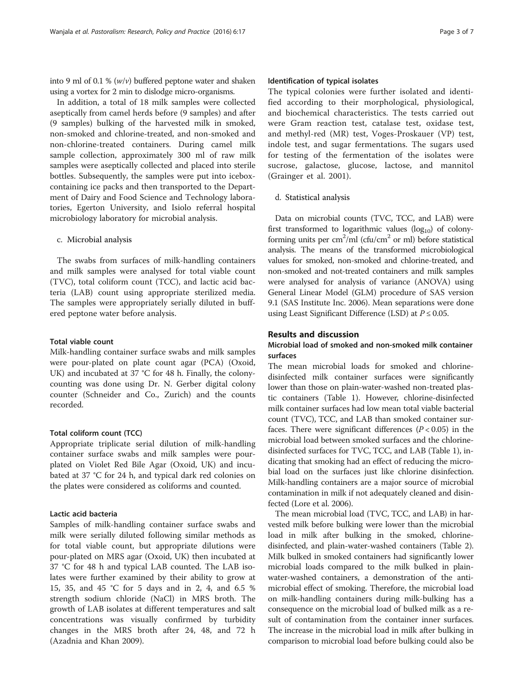into 9 ml of 0.1 %  $(w/v)$  buffered peptone water and shaken using a vortex for 2 min to dislodge micro-organisms.

In addition, a total of 18 milk samples were collected aseptically from camel herds before (9 samples) and after (9 samples) bulking of the harvested milk in smoked, non-smoked and chlorine-treated, and non-smoked and non-chlorine-treated containers. During camel milk sample collection, approximately 300 ml of raw milk samples were aseptically collected and placed into sterile bottles. Subsequently, the samples were put into iceboxcontaining ice packs and then transported to the Department of Dairy and Food Science and Technology laboratories, Egerton University, and Isiolo referral hospital microbiology laboratory for microbial analysis.

c. Microbial analysis

The swabs from surfaces of milk-handling containers and milk samples were analysed for total viable count (TVC), total coliform count (TCC), and lactic acid bacteria (LAB) count using appropriate sterilized media. The samples were appropriately serially diluted in buffered peptone water before analysis.

### Total viable count

Milk-handling container surface swabs and milk samples were pour-plated on plate count agar (PCA) (Oxoid, UK) and incubated at 37 °C for 48 h. Finally, the colonycounting was done using Dr. N. Gerber digital colony counter (Schneider and Co., Zurich) and the counts recorded.

#### Total coliform count (TCC)

Appropriate triplicate serial dilution of milk-handling container surface swabs and milk samples were pourplated on Violet Red Bile Agar (Oxoid, UK) and incubated at 37 °C for 24 h, and typical dark red colonies on the plates were considered as coliforms and counted.

### Lactic acid bacteria

Samples of milk-handling container surface swabs and milk were serially diluted following similar methods as for total viable count, but appropriate dilutions were pour-plated on MRS agar (Oxoid, UK) then incubated at 37 °C for 48 h and typical LAB counted. The LAB isolates were further examined by their ability to grow at 15, 35, and 45 °C for 5 days and in 2, 4, and 6.5 % strength sodium chloride (NaCl) in MRS broth. The growth of LAB isolates at different temperatures and salt concentrations was visually confirmed by turbidity changes in the MRS broth after 24, 48, and 72 h (Azadnia and Khan [2009](#page-5-0)).

### Identification of typical isolates

The typical colonies were further isolated and identified according to their morphological, physiological, and biochemical characteristics. The tests carried out were Gram reaction test, catalase test, oxidase test, and methyl-red (MR) test, Voges-Proskauer (VP) test, indole test, and sugar fermentations. The sugars used for testing of the fermentation of the isolates were sucrose, galactose, glucose, lactose, and mannitol (Grainger et al. [2001\)](#page-5-0).

#### d. Statistical analysis

Data on microbial counts (TVC, TCC, and LAB) were first transformed to logarithmic values  $(log_{10})$  of colonyforming units per  $\text{cm}^2/\text{ml}$  (cfu/cm<sup>2</sup> or ml) before statistical analysis. The means of the transformed microbiological values for smoked, non-smoked and chlorine-treated, and non-smoked and not-treated containers and milk samples were analysed for analysis of variance (ANOVA) using General Linear Model (GLM) procedure of SAS version 9.1 (SAS Institute Inc. [2006](#page-6-0)). Mean separations were done using Least Significant Difference (LSD) at  $P \le 0.05$ .

### Results and discussion

## Microbial load of smoked and non-smoked milk container surfaces

The mean microbial loads for smoked and chlorinedisinfected milk container surfaces were significantly lower than those on plain-water-washed non-treated plastic containers (Table [1](#page-3-0)). However, chlorine-disinfected milk container surfaces had low mean total viable bacterial count (TVC), TCC, and LAB than smoked container surfaces. There were significant differences  $(P < 0.05)$  in the microbial load between smoked surfaces and the chlorinedisinfected surfaces for TVC, TCC, and LAB (Table [1](#page-3-0)), indicating that smoking had an effect of reducing the microbial load on the surfaces just like chlorine disinfection. Milk-handling containers are a major source of microbial contamination in milk if not adequately cleaned and disinfected (Lore et al. [2006](#page-5-0)).

The mean microbial load (TVC, TCC, and LAB) in harvested milk before bulking were lower than the microbial load in milk after bulking in the smoked, chlorinedisinfected, and plain-water-washed containers (Table [2](#page-3-0)). Milk bulked in smoked containers had significantly lower microbial loads compared to the milk bulked in plainwater-washed containers, a demonstration of the antimicrobial effect of smoking. Therefore, the microbial load on milk-handling containers during milk-bulking has a consequence on the microbial load of bulked milk as a result of contamination from the container inner surfaces. The increase in the microbial load in milk after bulking in comparison to microbial load before bulking could also be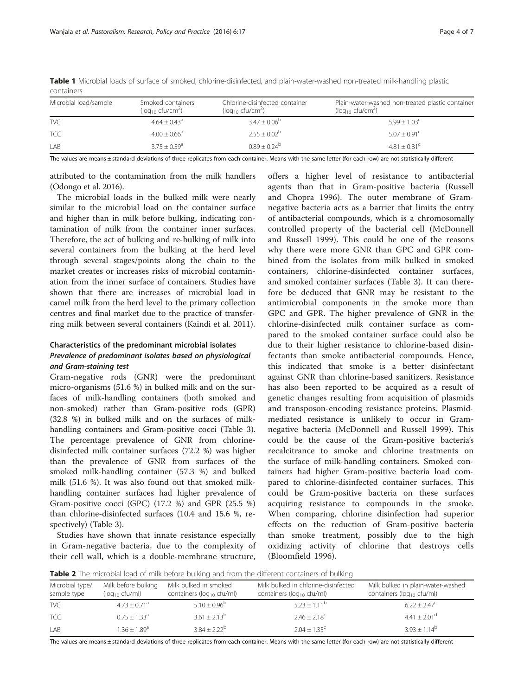| Microbial load/sample | Smoked containers<br>( $log_{10}$ cfu/cm <sup>2</sup> ) | Chlorine-disinfected container<br>( $log_{10}$ cfu/cm <sup>2</sup> ) | Plain-water-washed non-treated plastic container<br>$(log_{10}$ cfu/cm <sup>2</sup> ) |
|-----------------------|---------------------------------------------------------|----------------------------------------------------------------------|---------------------------------------------------------------------------------------|
| <b>TVC</b>            | $4.64 + 0.43$ <sup>a</sup>                              | $3.47 \pm 0.06^{\circ}$                                              | $5.99 + 1.03^{\circ}$                                                                 |
| <b>TCC</b>            | $4.00 + 0.66^a$                                         | $2.55 + 0.02^b$                                                      | $5.07 + 0.91^{\circ}$                                                                 |
| LAB                   | $3.75 + 0.59$ <sup>a</sup>                              | $0.89 + 0.24^b$                                                      | $4.81 + 0.81^{\circ}$                                                                 |

<span id="page-3-0"></span>Table 1 Microbial loads of surface of smoked, chlorine-disinfected, and plain-water-washed non-treated milk-handling plastic containers

The values are means ± standard deviations of three replicates from each container. Means with the same letter (for each row) are not statistically different

attributed to the contamination from the milk handlers (Odongo et al. [2016\)](#page-6-0).

The microbial loads in the bulked milk were nearly similar to the microbial load on the container surface and higher than in milk before bulking, indicating contamination of milk from the container inner surfaces. Therefore, the act of bulking and re-bulking of milk into several containers from the bulking at the herd level through several stages/points along the chain to the market creates or increases risks of microbial contamination from the inner surface of containers. Studies have shown that there are increases of microbial load in camel milk from the herd level to the primary collection centres and final market due to the practice of transferring milk between several containers (Kaindi et al. [2011\)](#page-5-0).

### Characteristics of the predominant microbial isolates Prevalence of predominant isolates based on physiological and Gram-staining test

Gram-negative rods (GNR) were the predominant micro-organisms (51.6 %) in bulked milk and on the surfaces of milk-handling containers (both smoked and non-smoked) rather than Gram-positive rods (GPR) (32.8 %) in bulked milk and on the surfaces of milkhandling containers and Gram-positive cocci (Table [3](#page-4-0)). The percentage prevalence of GNR from chlorinedisinfected milk container surfaces (72.2 %) was higher than the prevalence of GNR from surfaces of the smoked milk-handling container (57.3 %) and bulked milk (51.6 %). It was also found out that smoked milkhandling container surfaces had higher prevalence of Gram-positive cocci (GPC) (17.2 %) and GPR (25.5 %) than chlorine-disinfected surfaces (10.4 and 15.6 %, respectively) (Table [3](#page-4-0)).

Studies have shown that innate resistance especially in Gram-negative bacteria, due to the complexity of their cell wall, which is a double-membrane structure,

offers a higher level of resistance to antibacterial agents than that in Gram-positive bacteria (Russell and Chopra [1996](#page-6-0)). The outer membrane of Gramnegative bacteria acts as a barrier that limits the entry of antibacterial compounds, which is a chromosomally controlled property of the bacterial cell (McDonnell and Russell [1999](#page-6-0)). This could be one of the reasons why there were more GNR than GPC and GPR combined from the isolates from milk bulked in smoked containers, chlorine-disinfected container surfaces, and smoked container surfaces (Table [3](#page-4-0)). It can therefore be deduced that GNR may be resistant to the antimicrobial components in the smoke more than GPC and GPR. The higher prevalence of GNR in the chlorine-disinfected milk container surface as compared to the smoked container surface could also be due to their higher resistance to chlorine-based disinfectants than smoke antibacterial compounds. Hence, this indicated that smoke is a better disinfectant against GNR than chlorine-based sanitizers. Resistance has also been reported to be acquired as a result of genetic changes resulting from acquisition of plasmids and transposon-encoding resistance proteins. Plasmidmediated resistance is unlikely to occur in Gramnegative bacteria (McDonnell and Russell [1999](#page-6-0)). This could be the cause of the Gram-positive bacteria's recalcitrance to smoke and chlorine treatments on the surface of milk-handling containers. Smoked containers had higher Gram-positive bacteria load compared to chlorine-disinfected container surfaces. This could be Gram-positive bacteria on these surfaces acquiring resistance to compounds in the smoke. When comparing, chlorine disinfection had superior effects on the reduction of Gram-positive bacteria than smoke treatment, possibly due to the high oxidizing activity of chlorine that destroys cells (Bloomfield [1996](#page-5-0)).

**Table 2** The microbial load of milk before bulking and from the different containers of bulking

| Microbial type/<br>sample type | Milk before bulking<br>$(log_{10}$ cfu/ml) | Milk bulked in smoked<br>containers ( $log_{10}$ cfu/ml) | Milk bulked in chlorine-disinfected<br>containers ( $log_{10}$ cfu/ml) | Milk bulked in plain-water-washed<br>containers (log <sub>10</sub> cfu/ml) |
|--------------------------------|--------------------------------------------|----------------------------------------------------------|------------------------------------------------------------------------|----------------------------------------------------------------------------|
| TVC.                           | $4.73 + 0.71$ <sup>a</sup>                 | $5.10 + 0.96^b$                                          | $5.23 + 1.11^b$                                                        | $6.22 + 2.47^{\circ}$                                                      |
| <b>TCC</b>                     | $0.75 + 1.33^{\circ}$                      | $3.61 \pm 2.13^{b}$                                      | $2.46 \pm 2.18$ <sup>c</sup>                                           | $4.41 \pm 2.01$ <sup>d</sup>                                               |
| LAB                            | $.36 + 1.89$ <sup>a</sup>                  | $3.84 + 2.22^b$                                          | $2.04 \pm 1.35$ <sup>c</sup>                                           | $3.93 + 1.14^b$                                                            |

The values are means ± standard deviations of three replicates from each container. Means with the same letter (for each row) are not statistically different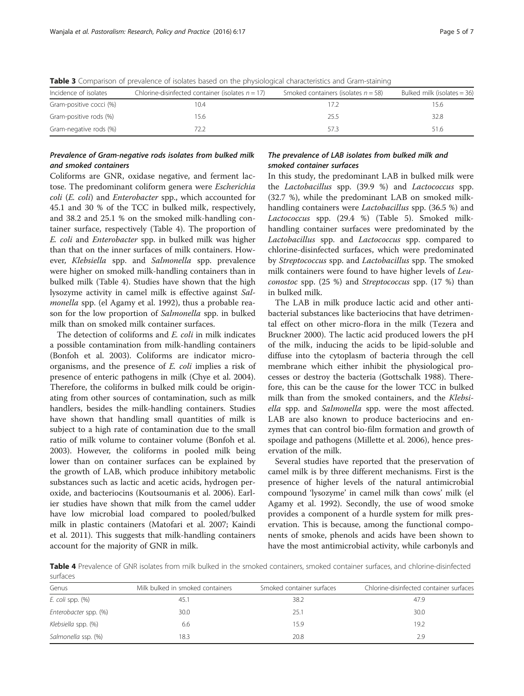| Incidence of isolates   | Chlorine-disinfected container (isolates $n = 17$ ) | Smoked containers (isolates $n = 58$ ) | Bulked milk (isolates $=$ 36) |  |
|-------------------------|-----------------------------------------------------|----------------------------------------|-------------------------------|--|
| Gram-positive cocci (%) | 10.4                                                | 172                                    | 15.6                          |  |
| Gram-positive rods (%)  | 15.6                                                | 25.5                                   | 32.8                          |  |
| Gram-negative rods (%)  | 72.7                                                | 573                                    | 51.6                          |  |

<span id="page-4-0"></span>Table 3 Comparison of prevalence of isolates based on the physiological characteristics and Gram-staining

### Prevalence of Gram-negative rods isolates from bulked milk and smoked containers

Coliforms are GNR, oxidase negative, and ferment lactose. The predominant coliform genera were Escherichia coli (E. coli) and Enterobacter spp., which accounted for 45.1 and 30 % of the TCC in bulked milk, respectively, and 38.2 and 25.1 % on the smoked milk-handling container surface, respectively (Table 4). The proportion of E. coli and Enterobacter spp. in bulked milk was higher than that on the inner surfaces of milk containers. However, Klebsiella spp. and Salmonella spp. prevalence were higher on smoked milk-handling containers than in bulked milk (Table 4). Studies have shown that the high lysozyme activity in camel milk is effective against Salmonella spp. (el Agamy et al. [1992](#page-5-0)), thus a probable reason for the low proportion of Salmonella spp. in bulked milk than on smoked milk container surfaces.

The detection of coliforms and *E. coli* in milk indicates a possible contamination from milk-handling containers (Bonfoh et al. [2003\)](#page-5-0). Coliforms are indicator microorganisms, and the presence of E. coli implies a risk of presence of enteric pathogens in milk (Chye et al. [2004](#page-5-0)). Therefore, the coliforms in bulked milk could be originating from other sources of contamination, such as milk handlers, besides the milk-handling containers. Studies have shown that handling small quantities of milk is subject to a high rate of contamination due to the small ratio of milk volume to container volume (Bonfoh et al. [2003](#page-5-0)). However, the coliforms in pooled milk being lower than on container surfaces can be explained by the growth of LAB, which produce inhibitory metabolic substances such as lactic and acetic acids, hydrogen peroxide, and bacteriocins (Koutsoumanis et al. [2006](#page-5-0)). Earlier studies have shown that milk from the camel udder have low microbial load compared to pooled/bulked milk in plastic containers (Matofari et al. [2007](#page-6-0); Kaindi et al. [2011](#page-5-0)). This suggests that milk-handling containers account for the majority of GNR in milk.

### The prevalence of LAB isolates from bulked milk and smoked container surfaces

In this study, the predominant LAB in bulked milk were the Lactobacillus spp. (39.9 %) and Lactococcus spp. (32.7 %), while the predominant LAB on smoked milkhandling containers were Lactobacillus spp. (36.5 %) and Lactococcus spp. (29.4 %) (Table [5\)](#page-5-0). Smoked milkhandling container surfaces were predominated by the Lactobacillus spp. and Lactococcus spp. compared to chlorine-disinfected surfaces, which were predominated by Streptococcus spp. and Lactobacillus spp. The smoked milk containers were found to have higher levels of Leuconostoc spp. (25 %) and Streptococcus spp. (17 %) than in bulked milk.

The LAB in milk produce lactic acid and other antibacterial substances like bacteriocins that have detrimental effect on other micro-flora in the milk (Tezera and Bruckner [2000](#page-6-0)). The lactic acid produced lowers the pH of the milk, inducing the acids to be lipid-soluble and diffuse into the cytoplasm of bacteria through the cell membrane which either inhibit the physiological processes or destroy the bacteria (Gottschalk [1988\)](#page-5-0). Therefore, this can be the cause for the lower TCC in bulked milk than from the smoked containers, and the Klebsiella spp. and Salmonella spp. were the most affected. LAB are also known to produce bacteriocins and enzymes that can control bio-film formation and growth of spoilage and pathogens (Millette et al. [2006\)](#page-6-0), hence preservation of the milk.

Several studies have reported that the preservation of camel milk is by three different mechanisms. First is the presence of higher levels of the natural antimicrobial compound 'lysozyme' in camel milk than cows' milk (el Agamy et al. [1992\)](#page-5-0). Secondly, the use of wood smoke provides a component of a hurdle system for milk preservation. This is because, among the functional components of smoke, phenols and acids have been shown to have the most antimicrobial activity, while carbonyls and

Table 4 Prevalence of GNR isolates from milk bulked in the smoked containers, smoked container surfaces, and chlorine-disinfected surfaces

| Genus                 | Milk bulked in smoked containers | Smoked container surfaces | Chlorine-disinfected container surfaces |
|-----------------------|----------------------------------|---------------------------|-----------------------------------------|
| $E.$ coli spp. $(\%)$ | 45.1                             | 38.2                      | 47.9                                    |
| Enterobacter spp. (%) | 30.0                             | 25.1                      | 30.0                                    |
| Klebsiella spp. (%)   | 6.6                              | 15.9                      | 19.2                                    |
| Salmonella ssp. (%)   | 18.3                             | 20.8                      | 2.9                                     |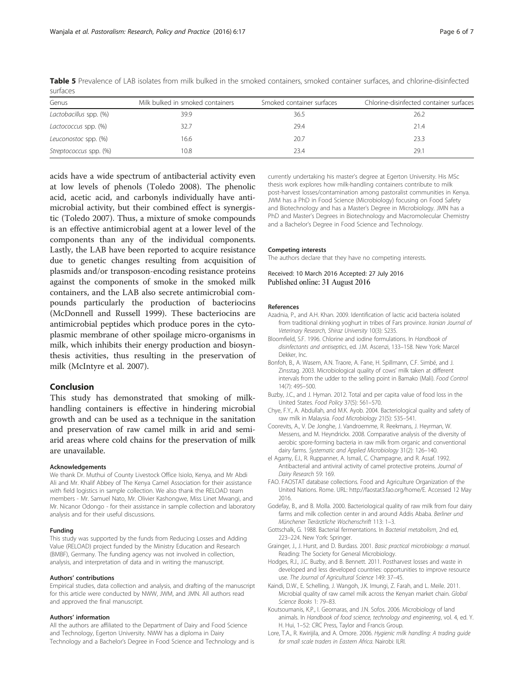| Genus                  | Milk bulked in smoked containers | Smoked container surfaces | Chlorine-disinfected container surfaces |
|------------------------|----------------------------------|---------------------------|-----------------------------------------|
| Lactobacillus spp. (%) | 39.9                             | 36.5                      | 26.2                                    |
| Lactococcus spp. (%)   | 32.7                             | 29.4                      | 21.4                                    |
| Leuconostoc spp. (%)   | 16.6                             | 20.7                      | 23.3                                    |
| Streptococcus spp. (%) | 10.8                             | 23.4                      | 29.1                                    |

<span id="page-5-0"></span>Table 5 Prevalence of LAB isolates from milk bulked in the smoked containers, smoked container surfaces, and chlorine-disinfected surfaces

acids have a wide spectrum of antibacterial activity even at low levels of phenols (Toledo [2008\)](#page-6-0). The phenolic acid, acetic acid, and carbonyls individually have antimicrobial activity, but their combined effect is synergistic (Toledo [2007\)](#page-6-0). Thus, a mixture of smoke compounds is an effective antimicrobial agent at a lower level of the components than any of the individual components. Lastly, the LAB have been reported to acquire resistance due to genetic changes resulting from acquisition of plasmids and/or transposon-encoding resistance proteins against the components of smoke in the smoked milk containers, and the LAB also secrete antimicrobial compounds particularly the production of bacteriocins (McDonnell and Russell [1999](#page-6-0)). These bacteriocins are antimicrobial peptides which produce pores in the cytoplasmic membrane of other spoilage micro-organisms in milk, which inhibits their energy production and biosynthesis activities, thus resulting in the preservation of milk (McIntyre et al. [2007\)](#page-6-0).

### Conclusion

This study has demonstrated that smoking of milkhandling containers is effective in hindering microbial growth and can be used as a technique in the sanitation and preservation of raw camel milk in arid and semiarid areas where cold chains for the preservation of milk are unavailable.

#### Acknowledgements

We thank Dr. Muthui of County Livestock Office Isiolo, Kenya, and Mr Abdi Ali and Mr. Khalif Abbey of The Kenya Camel Association for their assistance with field logistics in sample collection. We also thank the RELOAD team members - Mr. Samuel Nato, Mr. Olivier Kashongwe, Miss Linet Mwangi, and Mr. Nicanor Odongo - for their assistance in sample collection and laboratory analysis and for their useful discussions.

#### Funding

This study was supported by the funds from Reducing Losses and Adding Value (RELOAD) project funded by the Ministry Education and Research (BMBF), Germany. The funding agency was not involved in collection, analysis, and interpretation of data and in writing the manuscript.

#### Authors' contributions

Empirical studies, data collection and analysis, and drafting of the manuscript for this article were conducted by NWW, JWM, and JMN. All authors read and approved the final manuscript.

#### Authors' information

All the authors are affiliated to the Department of Dairy and Food Science and Technology, Egerton University. NWW has a diploma in Dairy Technology and a Bachelor's Degree in Food Science and Technology and is currently undertaking his master's degree at Egerton University. His MSc thesis work explores how milk-handling containers contribute to milk post-harvest losses/contamination among pastoralist communities in Kenya. JWM has a PhD in Food Science (Microbiology) focusing on Food Safety and Biotechnology and has a Master's Degree in Microbiology. JMN has a PhD and Master's Degrees in Biotechnology and Macromolecular Chemistry and a Bachelor's Degree in Food Science and Technology.

#### Competing interests

The authors declare that they have no competing interests.

Received: 10 March 2016 Accepted: 27 July 2016 Published online: 31 August 2016

#### References

- Azadnia, P., and A.H. Khan. 2009. Identification of lactic acid bacteria isolated from traditional drinking yoghurt in tribes of Fars province. Iranian Journal of Veterinary Research, Shiraz University 10(3): S235.
- Bloomfield, S.F. 1996. Chlorine and iodine formulations. In Handbook of disinfectants and antiseptics, ed. J.M. Ascenzi, 133–158. New York: Marcel Dekker, Inc.
- Bonfoh, B., A. Wasem, A.N. Traore, A. Fane, H. Spillmann, C.F. Simbé, and J. Zinsstag. 2003. Microbiological quality of cows' milk taken at different intervals from the udder to the selling point in Bamako (Mali). Food Control 14(7): 495–500.
- Buzby, J.C., and J. Hyman. 2012. Total and per capita value of food loss in the United States. Food Policy 37(5): 561–570.
- Chye, F.Y., A. Abdullah, and M.K. Ayob. 2004. Bacteriological quality and safety of raw milk in Malaysia. Food Microbiology 21(5): 535–541.
- Coorevits, A., V. De Jonghe, J. Vandroemme, R. Reekmans, J. Heyrman, W. Messens, and M. Heyndrickx. 2008. Comparative analysis of the diversity of aerobic spore-forming bacteria in raw milk from organic and conventional dairy farms. Systematic and Applied Microbiology 31(2): 126–140.
- el Agamy, E.I., R. Ruppanner, A. Ismail, C. Champagne, and R. Assaf. 1992. Antibacterial and antiviral activity of camel protective proteins. Journal of Dairy Research 59: 169.
- FAO. FAOSTAT database collections. Food and Agriculture Organization of the United Nations. Rome. URL:<http://faostat3.fao.org/home/E>. Accessed 12 May 2016.
- Godefay, B., and B. Molla. 2000. Bacteriological quality of raw milk from four dairy farms and milk collection center in and around Addis Ababa. Berliner und Münchener Tierärztliche Wochenschrift 113: 1–3.
- Gottschalk, G. 1988. Bacterial fermentations. In Bacterial metabolism, 2nd ed, 223–224. New York: Springer.
- Grainger, J., J. Hurst, and D. Burdass. 2001. Basic practical microbiology: a manual. Reading: The Society for General Microbiology.
- Hodges, R.J., J.C. Buzby, and B. Bennett. 2011. Postharvest losses and waste in developed and less developed countries: opportunities to improve resource use. The Journal of Agricultural Science 149: 37–45.
- Kaindi, D.W., E. Schelling, J. Wangoh, J.K. Imungi, Z. Farah, and L. Meile. 2011. Microbial quality of raw camel milk across the Kenyan market chain. Global Science Books 1: 79–83.
- Koutsoumanis, K.P., I. Geornaras, and J.N. Sofos. 2006. Microbiology of land animals. In Handbook of food science, technology and engineering, vol. 4, ed. Y. H. Hui, 1–52: CRC Press, Taylor and Francis Group.
- Lore, T.A., R. Kwirijila, and A. Omore. 2006. Hygienic milk handling: A trading guide for small scale traders in Eastern Africa. Nairobi: ILRI.